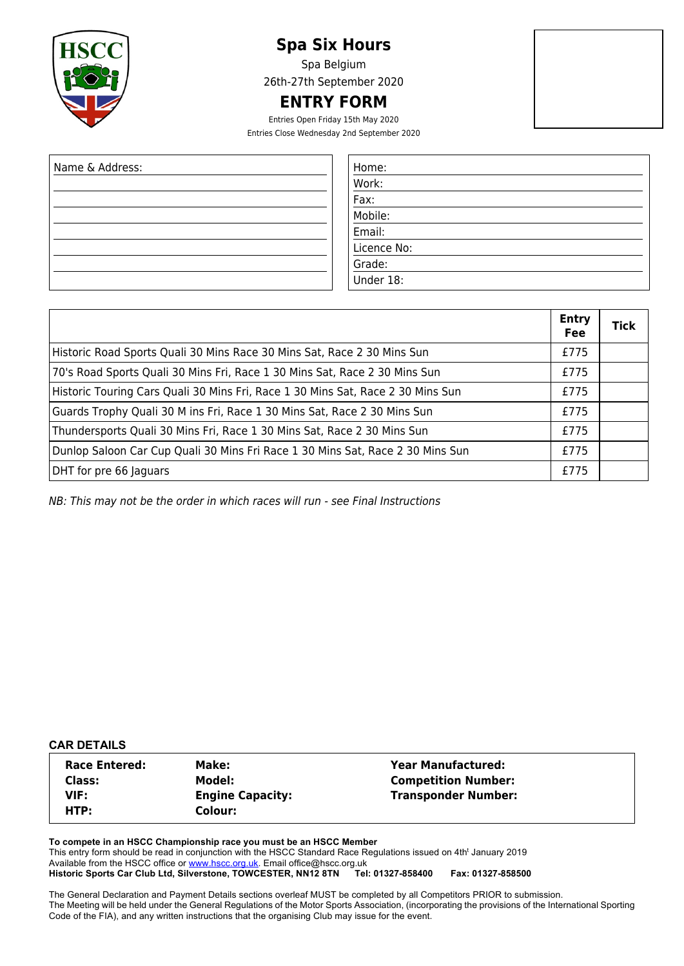

# **Spa Six Hours**

Spa Belgium 26th-27th September 2020

# **ENTRY FORM**

Entries Open Friday 15th May 2020 Entries Close Wednesday 2nd September 2020

| Name & Address: | Home:  |
|-----------------|--------|
|                 | Work:  |
|                 | Fax:   |
|                 | Mobile |
|                 | Email: |
|                 | Licenc |
|                 | Grade: |
|                 | Jnder  |

| Home:       |
|-------------|
| Work:       |
| Fax:        |
| Mobile:     |
| Email:      |
| Licence No: |
| Grade:      |
| Under 18:   |

|                                                                                 | <b>Entry</b><br>Fee | Tick |
|---------------------------------------------------------------------------------|---------------------|------|
| Historic Road Sports Quali 30 Mins Race 30 Mins Sat, Race 2 30 Mins Sun         | £775                |      |
| 70's Road Sports Quali 30 Mins Fri, Race 1 30 Mins Sat, Race 2 30 Mins Sun      | £775                |      |
| Historic Touring Cars Quali 30 Mins Fri, Race 1 30 Mins Sat, Race 2 30 Mins Sun | £775                |      |
| Guards Trophy Quali 30 M ins Fri, Race 1 30 Mins Sat, Race 2 30 Mins Sun        | £775                |      |
| Thundersports Quali 30 Mins Fri, Race 1 30 Mins Sat, Race 2 30 Mins Sun         | £775                |      |
| Dunlop Saloon Car Cup Quali 30 Mins Fri Race 1 30 Mins Sat, Race 2 30 Mins Sun  | £775                |      |
| DHT for pre 66 Jaguars                                                          | £775                |      |

NB: This may not be the order in which races will run - see Final Instructions

## **CAR DETAILS**

| <b>Race Entered:</b> | Make:                   | <b>Year Manufactured:</b>  |  |
|----------------------|-------------------------|----------------------------|--|
| Class:               | Model:                  | <b>Competition Number:</b> |  |
| VIF:                 | <b>Engine Capacity:</b> | <b>Transponder Number:</b> |  |
| HTP:                 | Colour:                 |                            |  |

**To compete in an HSCC Championship race you must be an HSCC Member** This entry form should be read in conjunction with the HSCC Standard Race Regulations issued on 4th<sup>t</sup> January 2019 Available from the HSCC office or www.hscc.org.uk. Email office@hscc.org.uk<br>Historic Sports Car Club Ltd, Silverstone, TOWCESTER, NN12 8TN Tel: 01327-858400 Historic Sports Car Club Ltd, Silverstone, TOWCESTER, NN12 8TN Tel: 01327-858400 Fax: 01327-858500

The General Declaration and Payment Details sections overleaf MUST be completed by all Competitors PRIOR to submission. The Meeting will be held under the General Regulations of the Motor Sports Association, (incorporating the provisions of the International Sporting Code of the FIA), and any written instructions that the organising Club may issue for the event.